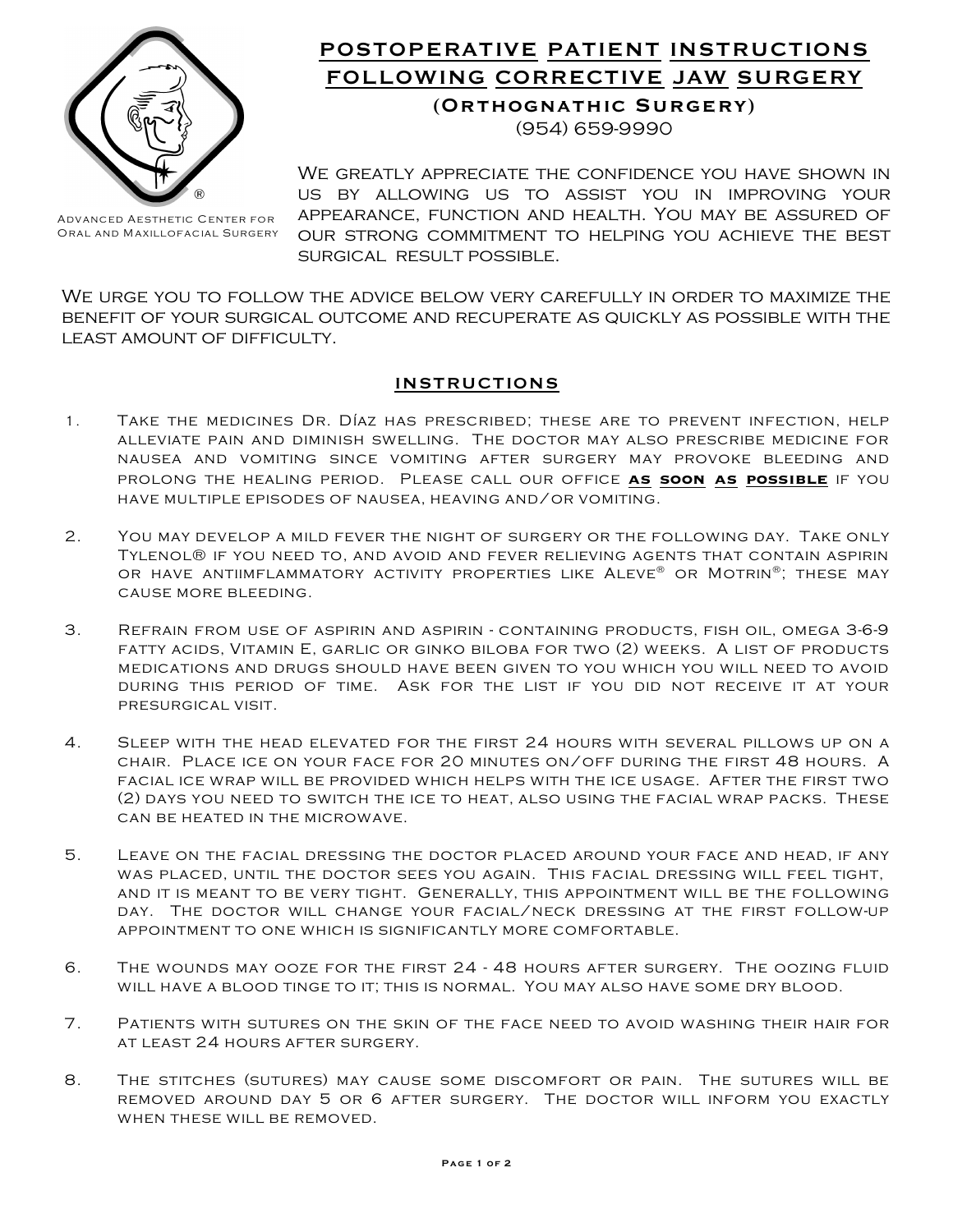

## **POSTOPERATIVE PATIENT INSTRUCTIONS FOLLOWING CORRECTIVE JAW SURGERY (Orthognathic Surgery)**

(954) 659-9990

WE GREATLY APPRECIATE THE CONFIDENCE YOU HAVE SHOWN IN us by allowing us to assist you in improving your appearance, function and health. You may be assured of our strong commitment to helping you achieve the best surgical result possible.

We urge you to follow the advice below very carefully in order to maximize the benefit of your surgical outcome and recuperate as quickly as possible with the least amount of difficulty.

## **INSTRUCTIONS**

- 1. Take the medicines Dr. Díaz has prescribed; these are to prevent infection, help alleviate pain and diminish swelling. The doctor may also prescribe medicine for nausea and vomiting since vomiting after surgery may provoke bleeding and PROLONG THE HEALING PERIOD. PLEASE CALL OUR OFFICE AS SOON AS POSSIBLE IF YOU have multiple episodes of nausea, heaving and/or vomiting.
- 2. You may develop a mild fever the night of surgery or the following day. Take only Tylenol® if you need to, and avoid and fever relieving agents that contain aspirin OR HAVE ANTIIMFLAMMATORY ACTIVITY PROPERTIES LIKE  ${\sf ALEVE}^{\circ\!\!\circ}$  OR  ${\sf MOTRIN}^{\circ\!\!\circ}$  . These may cause more bleeding.
- 3. Refrain from use of aspirin and aspirin containing products, fish oil, omega 3-6-9 fatty acids, Vitamin E, garlic or ginko biloba for two (2) weeks. A list of products medications and drugs should have been given to you which you will need to avoid during this period of time. Ask for the list if you did not receive it at your presurgical visit.
- 4. Sleep with the head elevated for the first 24 hours with several pillows up on a chair. Place ice on your face for 20 minutes on/off during the first 48 hours. A facial ice wrap will be provided which helps with the ice usage. After the first two (2) days you need to switch the ice to heat, also using the facial wrap packs. These can be heated in the microwave.
- 5. Leave on the facial dressing the doctor placed around your face and head, if any was placed, until the doctor sees you again. This facial dressing will feel tight, and it is meant to be very tight. Generally, this appointment will be the following day. The doctor will change your facial/neck dressing at the first follow-up appointment to one which is significantly more comfortable.
- 6. The wounds may ooze for the first 24 48 hours after surgery. The oozing fluid will have a blood tinge to it; this is normal. You may also have some dry blood.
- 7. Patients with sutures on the skin of the face need to avoid washing their hair for at least 24 hours after surgery.
- 8. The stitches (sutures) may cause some discomfort or pain. The sutures will be removed around day 5 or 6 after surgery. The doctor will inform you exactly WHEN THESE WILL BE REMOVED.

*Advanced Aesthetic Center for Oral and Maxillofacial Surgery*